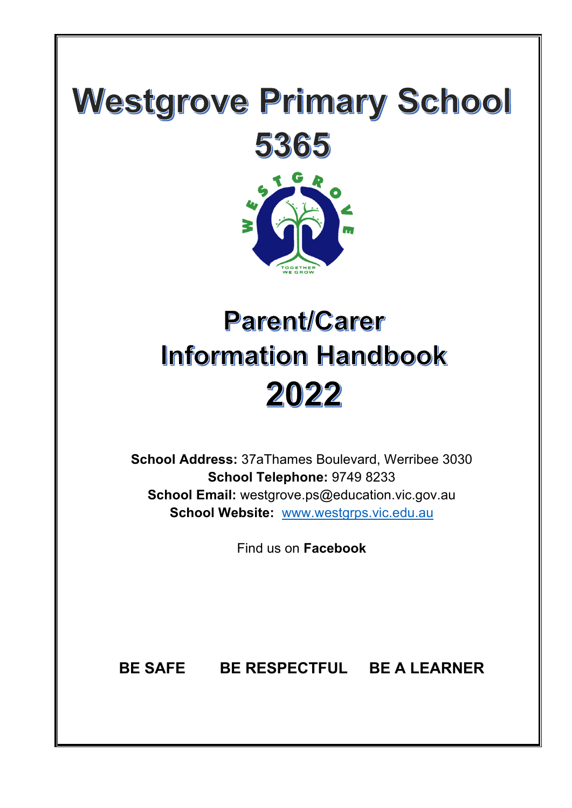# **Westgrove Primary School**



# **Parent/Carer Information Handbook** 2022

**School Address:** 37aThames Boulevard, Werribee 3030 **School Telephone:** 9749 8233 **School Email:** westgrove.ps@education.vic.gov.au **School Website:** www.westgrps.vic.edu.au

Find us on **Facebook**

**BE SAFE BE RESPECTFUL BE A LEARNER**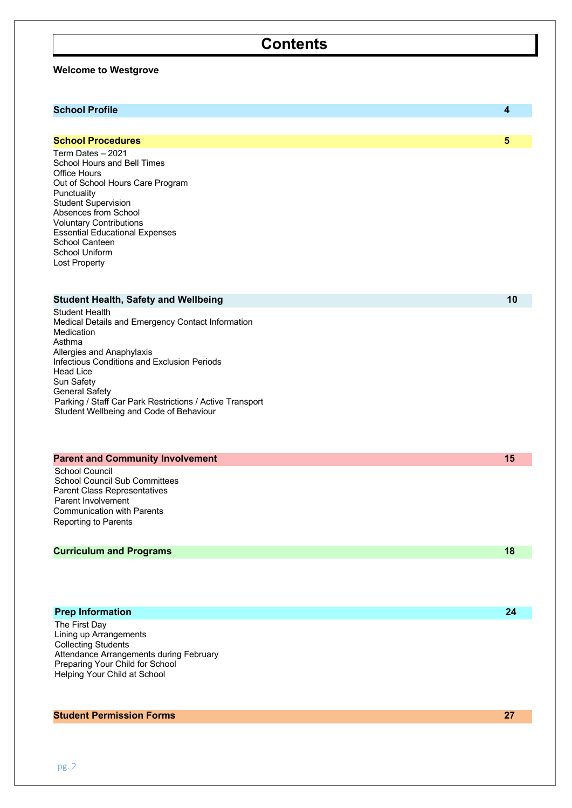| <b>Contents</b>                                                                                                                                                                                                                                                                                                                           |                         |
|-------------------------------------------------------------------------------------------------------------------------------------------------------------------------------------------------------------------------------------------------------------------------------------------------------------------------------------------|-------------------------|
| <b>Welcome to Westgrove</b>                                                                                                                                                                                                                                                                                                               |                         |
| <b>School Profile</b>                                                                                                                                                                                                                                                                                                                     | $\overline{\mathbf{4}}$ |
| <b>School Procedures</b>                                                                                                                                                                                                                                                                                                                  | $5\phantom{.0}$         |
| Term Dates - 2021<br>School Hours and Bell Times<br><b>Office Hours</b><br>Out of School Hours Care Program<br>Punctuality<br><b>Student Supervision</b><br>Absences from School<br><b>Voluntary Contributions</b><br><b>Essential Educational Expenses</b><br>School Canteen<br>School Uniform<br><b>Lost Property</b>                   |                         |
| <b>Student Health, Safety and Wellbeing</b>                                                                                                                                                                                                                                                                                               | 10                      |
| <b>Student Health</b><br>Medical Details and Emergency Contact Information<br>Medication<br>Asthma<br>Allergies and Anaphylaxis<br>Infectious Conditions and Exclusion Periods<br>Head Lice<br>Sun Safety<br><b>General Safety</b><br>Parking / Staff Car Park Restrictions / Active Transport<br>Student Wellbeing and Code of Behaviour |                         |
| <b>Parent and Community Involvement</b>                                                                                                                                                                                                                                                                                                   | 15                      |
| <b>School Council</b><br><b>School Council Sub Committees</b><br>Parent Class Representatives<br>Parent Involvement<br><b>Communication with Parents</b><br><b>Reporting to Parents</b>                                                                                                                                                   |                         |
| <b>Curriculum and Programs</b>                                                                                                                                                                                                                                                                                                            | 18                      |

#### **Prep Information 24**

The First Day Lining up Arrangements Collecting Students Attendance Arrangements during February Preparing Your Child for School Helping Your Child at School

#### **Student Permission Forms 27**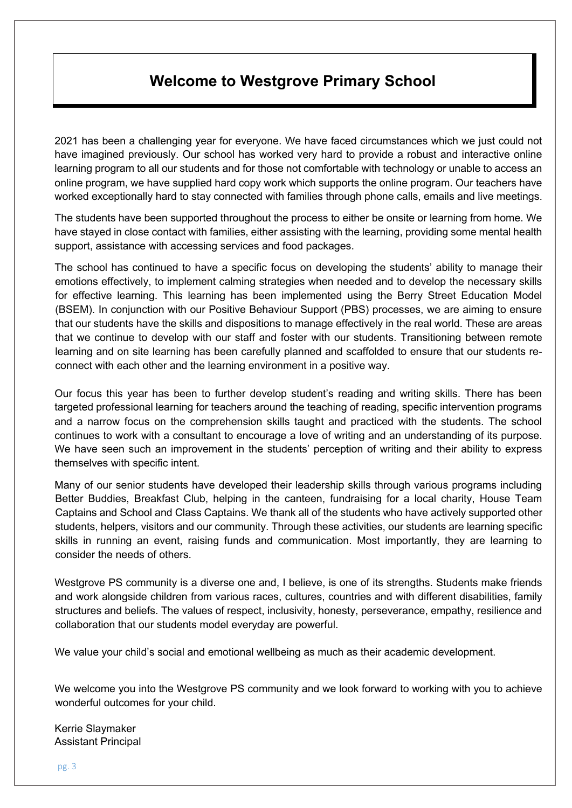# **Welcome to Westgrove Primary School**

2021 has been a challenging year for everyone. We have faced circumstances which we just could not have imagined previously. Our school has worked very hard to provide a robust and interactive online learning program to all our students and for those not comfortable with technology or unable to access an online program, we have supplied hard copy work which supports the online program. Our teachers have worked exceptionally hard to stay connected with families through phone calls, emails and live meetings.

The students have been supported throughout the process to either be onsite or learning from home. We have stayed in close contact with families, either assisting with the learning, providing some mental health support, assistance with accessing services and food packages.

The school has continued to have a specific focus on developing the students' ability to manage their emotions effectively, to implement calming strategies when needed and to develop the necessary skills for effective learning. This learning has been implemented using the Berry Street Education Model (BSEM). In conjunction with our Positive Behaviour Support (PBS) processes, we are aiming to ensure that our students have the skills and dispositions to manage effectively in the real world. These are areas that we continue to develop with our staff and foster with our students. Transitioning between remote learning and on site learning has been carefully planned and scaffolded to ensure that our students reconnect with each other and the learning environment in a positive way.

Our focus this year has been to further develop student's reading and writing skills. There has been targeted professional learning for teachers around the teaching of reading, specific intervention programs and a narrow focus on the comprehension skills taught and practiced with the students. The school continues to work with a consultant to encourage a love of writing and an understanding of its purpose. We have seen such an improvement in the students' perception of writing and their ability to express themselves with specific intent.

Many of our senior students have developed their leadership skills through various programs including Better Buddies, Breakfast Club, helping in the canteen, fundraising for a local charity, House Team Captains and School and Class Captains. We thank all of the students who have actively supported other students, helpers, visitors and our community. Through these activities, our students are learning specific skills in running an event, raising funds and communication. Most importantly, they are learning to consider the needs of others.

Westgrove PS community is a diverse one and, I believe, is one of its strengths. Students make friends and work alongside children from various races, cultures, countries and with different disabilities, family structures and beliefs. The values of respect, inclusivity, honesty, perseverance, empathy, resilience and collaboration that our students model everyday are powerful.

We value your child's social and emotional wellbeing as much as their academic development.

We welcome you into the Westgrove PS community and we look forward to working with you to achieve wonderful outcomes for your child.

Kerrie Slaymaker Assistant Principal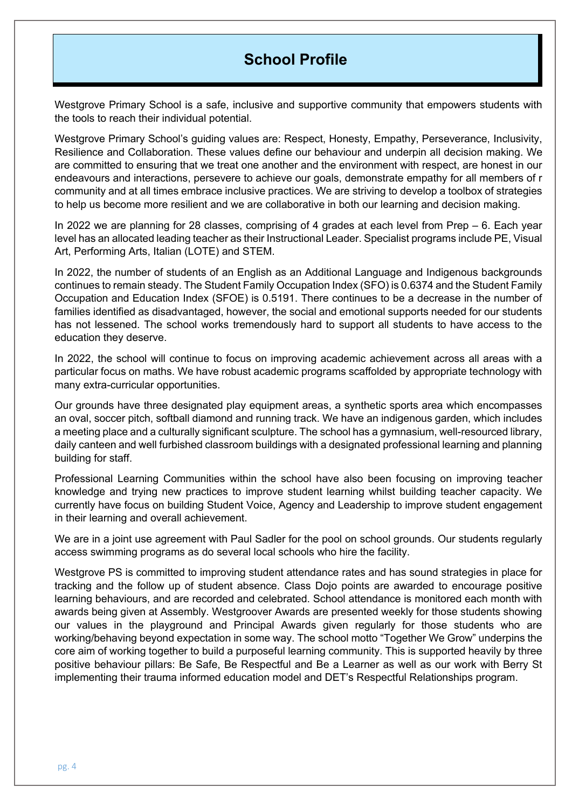## **School Profile**

Westgrove Primary School is a safe, inclusive and supportive community that empowers students with the tools to reach their individual potential.

Westgrove Primary School's guiding values are: Respect, Honesty, Empathy, Perseverance, Inclusivity, Resilience and Collaboration. These values define our behaviour and underpin all decision making. We are committed to ensuring that we treat one another and the environment with respect, are honest in our endeavours and interactions, persevere to achieve our goals, demonstrate empathy for all members of r community and at all times embrace inclusive practices. We are striving to develop a toolbox of strategies to help us become more resilient and we are collaborative in both our learning and decision making.

In 2022 we are planning for 28 classes, comprising of 4 grades at each level from Prep – 6. Each year level has an allocated leading teacher as their Instructional Leader. Specialist programs include PE, Visual Art, Performing Arts, Italian (LOTE) and STEM.

In 2022, the number of students of an English as an Additional Language and Indigenous backgrounds continues to remain steady. The Student Family Occupation Index (SFO) is 0.6374 and the Student Family Occupation and Education Index (SFOE) is 0.5191. There continues to be a decrease in the number of families identified as disadvantaged, however, the social and emotional supports needed for our students has not lessened. The school works tremendously hard to support all students to have access to the education they deserve.

In 2022, the school will continue to focus on improving academic achievement across all areas with a particular focus on maths. We have robust academic programs scaffolded by appropriate technology with many extra-curricular opportunities.

Our grounds have three designated play equipment areas, a synthetic sports area which encompasses an oval, soccer pitch, softball diamond and running track. We have an indigenous garden, which includes a meeting place and a culturally significant sculpture. The school has a gymnasium, well-resourced library, daily canteen and well furbished classroom buildings with a designated professional learning and planning building for staff.

Professional Learning Communities within the school have also been focusing on improving teacher knowledge and trying new practices to improve student learning whilst building teacher capacity. We currently have focus on building Student Voice, Agency and Leadership to improve student engagement in their learning and overall achievement.

We are in a joint use agreement with Paul Sadler for the pool on school grounds. Our students regularly access swimming programs as do several local schools who hire the facility.

Westgrove PS is committed to improving student attendance rates and has sound strategies in place for tracking and the follow up of student absence. Class Dojo points are awarded to encourage positive learning behaviours, and are recorded and celebrated. School attendance is monitored each month with awards being given at Assembly. Westgroover Awards are presented weekly for those students showing our values in the playground and Principal Awards given regularly for those students who are working/behaving beyond expectation in some way. The school motto "Together We Grow" underpins the core aim of working together to build a purposeful learning community. This is supported heavily by three positive behaviour pillars: Be Safe, Be Respectful and Be a Learner as well as our work with Berry St implementing their trauma informed education model and DET's Respectful Relationships program.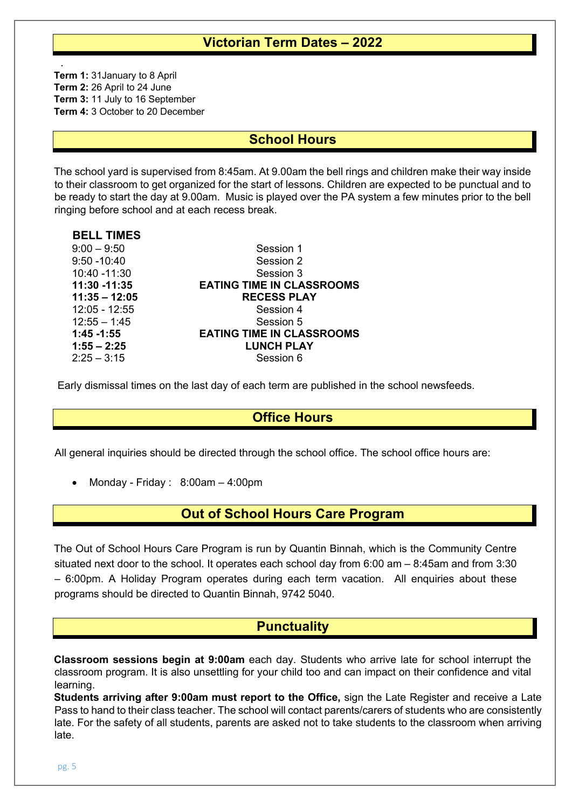## **Victorian Term Dates – 2022**

**Term 1:** 31January to 8 April **Term 2:** 26 April to 24 June **Term 3:** 11 July to 16 September **Term 4:** 3 October to 20 December

.

## **School Hours**

The school yard is supervised from 8:45am. At 9.00am the bell rings and children make their way inside to their classroom to get organized for the start of lessons. Children are expected to be punctual and to be ready to start the day at 9.00am. Music is played over the PA system a few minutes prior to the bell ringing before school and at each recess break.

| <b>BELL TIMES</b> |                                  |
|-------------------|----------------------------------|
| $9:00 - 9:50$     | Session 1                        |
| $9:50 - 10:40$    | Session 2                        |
| 10:40 -11:30      | Session 3                        |
| 11:30 -11:35      | <b>EATING TIME IN CLASSROOMS</b> |
| $11:35 - 12:05$   | <b>RECESS PLAY</b>               |
| 12:05 - 12:55     | Session 4                        |
| $12:55 - 1:45$    | Session 5                        |
| $1:45 - 1:55$     | <b>EATING TIME IN CLASSROOMS</b> |
| $1:55 - 2:25$     | <b>LUNCH PLAY</b>                |
| $2:25 - 3:15$     | Session 6                        |

Early dismissal times on the last day of each term are published in the school newsfeeds.

## **Office Hours**

All general inquiries should be directed through the school office. The school office hours are:

• Monday - Friday : 8:00am – 4:00pm

## **Out of School Hours Care Program**

The Out of School Hours Care Program is run by Quantin Binnah, which is the Community Centre situated next door to the school. It operates each school day from 6:00 am – 8:45am and from 3:30 – 6:00pm. A Holiday Program operates during each term vacation. All enquiries about these programs should be directed to Quantin Binnah, 9742 5040.

## **Punctuality**

**Classroom sessions begin at 9:00am** each day. Students who arrive late for school interrupt the classroom program. It is also unsettling for your child too and can impact on their confidence and vital learning.

**Students arriving after 9:00am must report to the Office,** sign the Late Register and receive a Late Pass to hand to their class teacher. The school will contact parents/carers of students who are consistently late. For the safety of all students, parents are asked not to take students to the classroom when arriving late.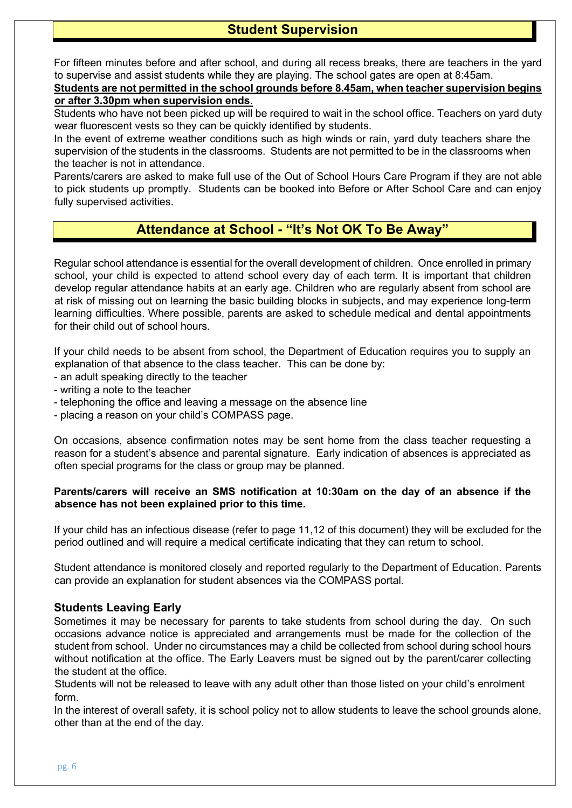For fifteen minutes before and after school, and during all recess breaks, there are teachers in the yard to supervise and assist students while they are playing. The school gates are open at 8:45am.

#### **Students are not permitted in the school grounds before 8.45am, when teacher supervision begins or after 3.30pm when supervision ends**.

Students who have not been picked up will be required to wait in the school office. Teachers on yard duty wear fluorescent vests so they can be quickly identified by students.

In the event of extreme weather conditions such as high winds or rain, yard duty teachers share the supervision of the students in the classrooms. Students are not permitted to be in the classrooms when the teacher is not in attendance.

Parents/carers are asked to make full use of the Out of School Hours Care Program if they are not able to pick students up promptly. Students can be booked into Before or After School Care and can enjoy fully supervised activities.

## **Attendance at School - "It's Not OK To Be Away"**

Regular school attendance is essential for the overall development of children. Once enrolled in primary school, your child is expected to attend school every day of each term. It is important that children develop regular attendance habits at an early age. Children who are regularly absent from school are at risk of missing out on learning the basic building blocks in subjects, and may experience long-term learning difficulties. Where possible, parents are asked to schedule medical and dental appointments for their child out of school hours.

If your child needs to be absent from school, the Department of Education requires you to supply an explanation of that absence to the class teacher. This can be done by:

- an adult speaking directly to the teacher
- writing a note to the teacher
- telephoning the office and leaving a message on the absence line
- placing a reason on your child's COMPASS page.

On occasions, absence confirmation notes may be sent home from the class teacher requesting a reason for a student's absence and parental signature. Early indication of absences is appreciated as often special programs for the class or group may be planned.

#### **Parents/carers will receive an SMS notification at 10:30am on the day of an absence if the absence has not been explained prior to this time.**

If your child has an infectious disease (refer to page 11,12 of this document) they will be excluded for the period outlined and will require a medical certificate indicating that they can return to school.

Student attendance is monitored closely and reported regularly to the Department of Education. Parents can provide an explanation for student absences via the COMPASS portal.

#### **Students Leaving Early**

Sometimes it may be necessary for parents to take students from school during the day. On such occasions advance notice is appreciated and arrangements must be made for the collection of the student from school. Under no circumstances may a child be collected from school during school hours without notification at the office. The Early Leavers must be signed out by the parent/carer collecting the student at the office.

Students will not be released to leave with any adult other than those listed on your child's enrolment form.

In the interest of overall safety, it is school policy not to allow students to leave the school grounds alone, other than at the end of the day.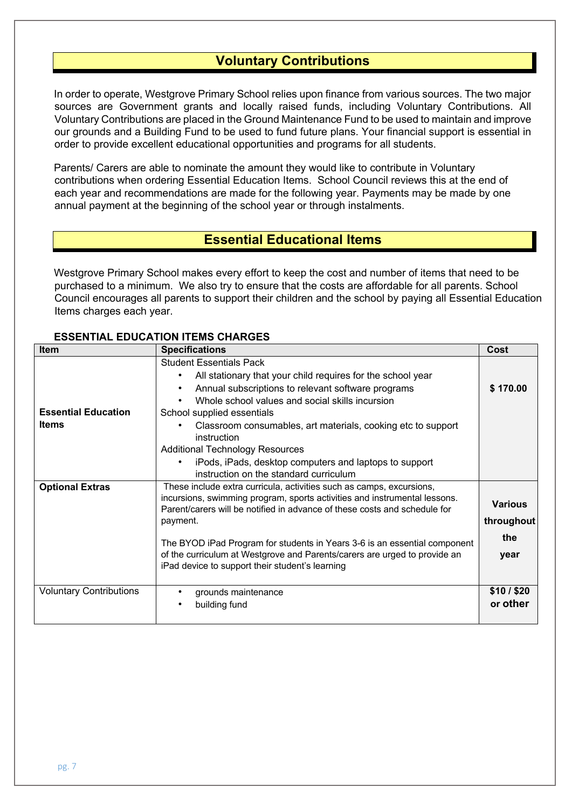## **Voluntary Contributions**

In order to operate, Westgrove Primary School relies upon finance from various sources. The two major sources are Government grants and locally raised funds, including Voluntary Contributions. All Voluntary Contributions are placed in the Ground Maintenance Fund to be used to maintain and improve our grounds and a Building Fund to be used to fund future plans. Your financial support is essential in order to provide excellent educational opportunities and programs for all students.

Parents/ Carers are able to nominate the amount they would like to contribute in Voluntary contributions when ordering Essential Education Items. School Council reviews this at the end of each year and recommendations are made for the following year. Payments may be made by one annual payment at the beginning of the school year or through instalments.

## **Essential Educational Items**

Westgrove Primary School makes every effort to keep the cost and number of items that need to be purchased to a minimum. We also try to ensure that the costs are affordable for all parents. School Council encourages all parents to support their children and the school by paying all Essential Education Items charges each year.

#### **ESSENTIAL EDUCATION ITEMS CHARGES**

| <b>Item</b>                                | <b>Specifications</b>                                                                                                                                                                                                                                                                                                                                                                                                                                             | Cost                  |
|--------------------------------------------|-------------------------------------------------------------------------------------------------------------------------------------------------------------------------------------------------------------------------------------------------------------------------------------------------------------------------------------------------------------------------------------------------------------------------------------------------------------------|-----------------------|
| <b>Essential Education</b><br><b>Items</b> | <b>Student Essentials Pack</b><br>All stationary that your child requires for the school year<br>Annual subscriptions to relevant software programs<br>Whole school values and social skills incursion<br>School supplied essentials<br>Classroom consumables, art materials, cooking etc to support<br>instruction<br><b>Additional Technology Resources</b><br>iPods, iPads, desktop computers and laptops to support<br>instruction on the standard curriculum | \$170.00              |
| <b>Optional Extras</b>                     | These include extra curricula, activities such as camps, excursions,<br>incursions, swimming program, sports activities and instrumental lessons.<br>Parent/carers will be notified in advance of these costs and schedule for<br>payment.<br>The BYOD iPad Program for students in Years 3-6 is an essential component<br>of the curriculum at Westgrove and Parents/carers are urged to provide an<br>iPad device to support their student's learning           |                       |
| <b>Voluntary Contributions</b>             | grounds maintenance<br>building fund                                                                                                                                                                                                                                                                                                                                                                                                                              | \$10/\$20<br>or other |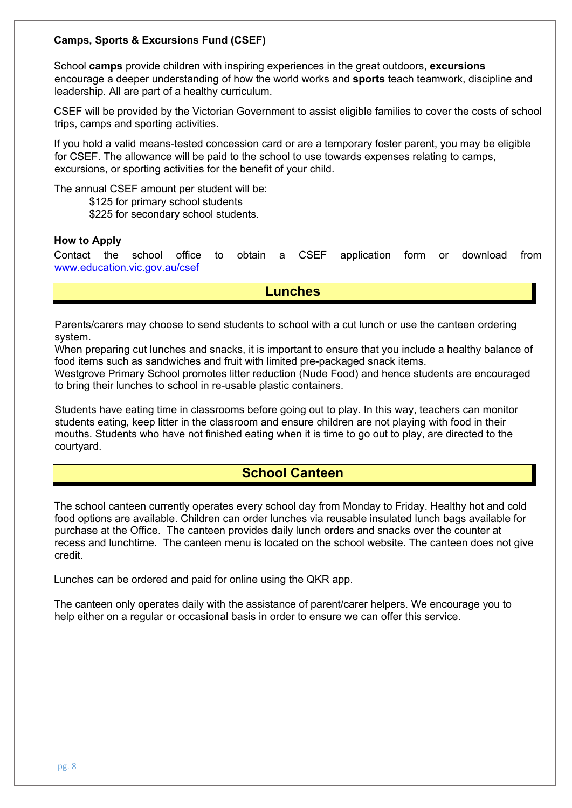#### **Camps, Sports & Excursions Fund (CSEF)**

School **camps** provide children with inspiring experiences in the great outdoors, **excursions**  encourage a deeper understanding of how the world works and **sports** teach teamwork, discipline and leadership. All are part of a healthy curriculum.

CSEF will be provided by the Victorian Government to assist eligible families to cover the costs of school trips, camps and sporting activities.

If you hold a valid means-tested concession card or are a temporary foster parent, you may be eligible for CSEF. The allowance will be paid to the school to use towards expenses relating to camps, excursions, or sporting activities for the benefit of your child.

The annual CSEF amount per student will be:

\$125 for primary school students

\$225 for secondary school students.

#### **How to Apply**

Contact the school office to obtain a CSEF application form or download from www.education.vic.gov.au/csef

**Lunches**

Parents/carers may choose to send students to school with a cut lunch or use the canteen ordering system.

When preparing cut lunches and snacks, it is important to ensure that you include a healthy balance of food items such as sandwiches and fruit with limited pre-packaged snack items.

Westgrove Primary School promotes litter reduction (Nude Food) and hence students are encouraged to bring their lunches to school in re-usable plastic containers.

Students have eating time in classrooms before going out to play. In this way, teachers can monitor students eating, keep litter in the classroom and ensure children are not playing with food in their mouths. Students who have not finished eating when it is time to go out to play, are directed to the courtyard.

## **School Canteen**

The school canteen currently operates every school day from Monday to Friday. Healthy hot and cold food options are available. Children can order lunches via reusable insulated lunch bags available for purchase at the Office. The canteen provides daily lunch orders and snacks over the counter at recess and lunchtime. The canteen menu is located on the school website. The canteen does not give credit.

Lunches can be ordered and paid for online using the QKR app.

The canteen only operates daily with the assistance of parent/carer helpers. We encourage you to help either on a regular or occasional basis in order to ensure we can offer this service.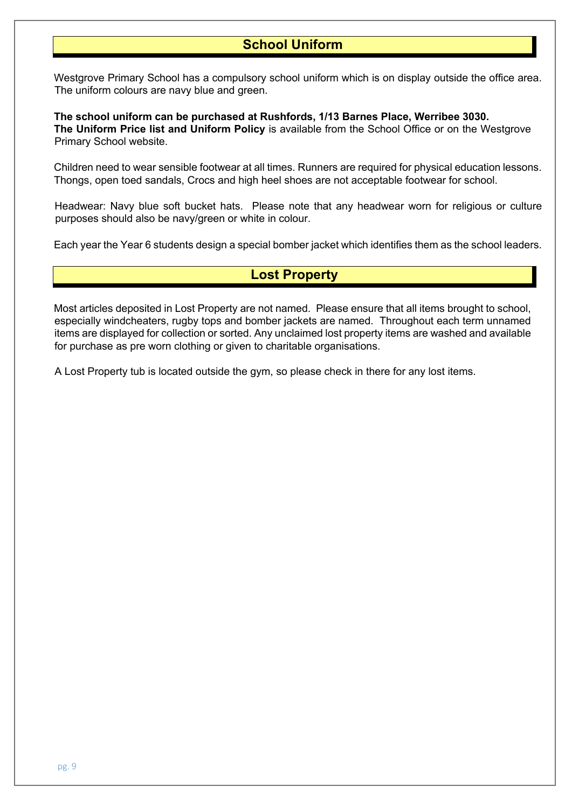## **School Uniform**

Westgrove Primary School has a compulsory school uniform which is on display outside the office area. The uniform colours are navy blue and green.

**The school uniform can be purchased at Rushfords, 1/13 Barnes Place, Werribee 3030. The Uniform Price list and Uniform Policy** is available from the School Office or on the Westgrove Primary School website.

Children need to wear sensible footwear at all times. Runners are required for physical education lessons. Thongs, open toed sandals, Crocs and high heel shoes are not acceptable footwear for school.

Headwear: Navy blue soft bucket hats. Please note that any headwear worn for religious or culture purposes should also be navy/green or white in colour.

Each year the Year 6 students design a special bomber jacket which identifies them as the school leaders.

## **Lost Property**

Most articles deposited in Lost Property are not named. Please ensure that all items brought to school, especially windcheaters, rugby tops and bomber jackets are named. Throughout each term unnamed items are displayed for collection or sorted. Any unclaimed lost property items are washed and available for purchase as pre worn clothing or given to charitable organisations.

A Lost Property tub is located outside the gym, so please check in there for any lost items.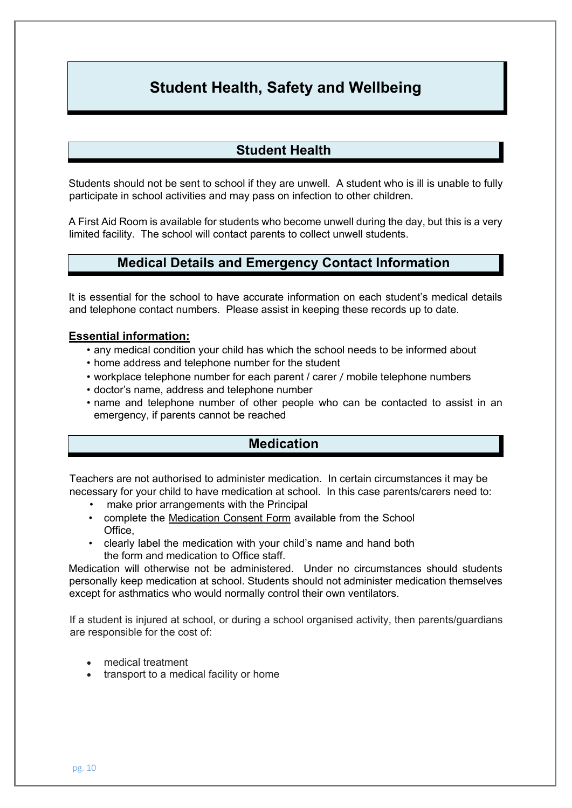# **Student Health, Safety and Wellbeing**

## **Student Health**

Students should not be sent to school if they are unwell. A student who is ill is unable to fully participate in school activities and may pass on infection to other children.

A First Aid Room is available for students who become unwell during the day, but this is a very limited facility. The school will contact parents to collect unwell students.

## **Medical Details and Emergency Contact Information**

It is essential for the school to have accurate information on each student's medical details and telephone contact numbers. Please assist in keeping these records up to date.

#### **Essential information:**

- any medical condition your child has which the school needs to be informed about
- home address and telephone number for the student
- workplace telephone number for each parent / carer / mobile telephone numbers
- doctor's name, address and telephone number
- name and telephone number of other people who can be contacted to assist in an emergency, if parents cannot be reached

## **Medication**

Teachers are not authorised to administer medication. In certain circumstances it may be necessary for your child to have medication at school. In this case parents/carers need to:

- make prior arrangements with the Principal
- complete the Medication Consent Form available from the School Office,
- clearly label the medication with your child's name and hand both the form and medication to Office staff.

Medication will otherwise not be administered. Under no circumstances should students personally keep medication at school. Students should not administer medication themselves except for asthmatics who would normally control their own ventilators.

If a student is injured at school, or during a school organised activity, then parents/guardians are responsible for the cost of:

- medical treatment
- transport to a medical facility or home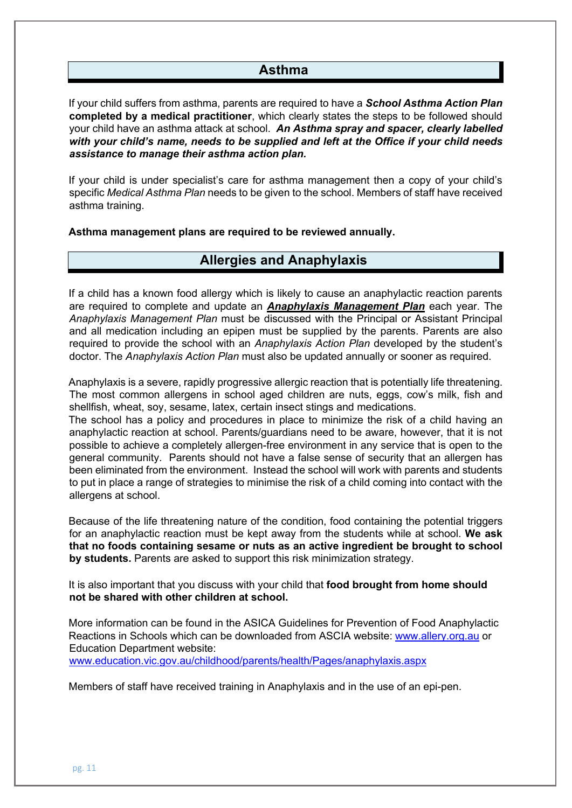## **Asthma**

If your child suffers from asthma, parents are required to have a *School Asthma Action Plan*  **completed by a medical practitioner**, which clearly states the steps to be followed should your child have an asthma attack at school. *An Asthma spray and spacer, clearly labelled with your child's name, needs to be supplied and left at the Office if your child needs assistance to manage their asthma action plan.* 

If your child is under specialist's care for asthma management then a copy of your child's specific *Medical Asthma Plan* needs to be given to the school. Members of staff have received asthma training.

**Asthma management plans are required to be reviewed annually.**

## **Allergies and Anaphylaxis**

If a child has a known food allergy which is likely to cause an anaphylactic reaction parents are required to complete and update an *Anaphylaxis Management Plan* each year. The *Anaphylaxis Management Plan* must be discussed with the Principal or Assistant Principal and all medication including an epipen must be supplied by the parents. Parents are also required to provide the school with an *Anaphylaxis Action Plan* developed by the student's doctor. The *Anaphylaxis Action Plan* must also be updated annually or sooner as required.

Anaphylaxis is a severe, rapidly progressive allergic reaction that is potentially life threatening. The most common allergens in school aged children are nuts, eggs, cow's milk, fish and shellfish, wheat, soy, sesame, latex, certain insect stings and medications.

The school has a policy and procedures in place to minimize the risk of a child having an anaphylactic reaction at school. Parents/guardians need to be aware, however, that it is not possible to achieve a completely allergen-free environment in any service that is open to the general community. Parents should not have a false sense of security that an allergen has been eliminated from the environment. Instead the school will work with parents and students to put in place a range of strategies to minimise the risk of a child coming into contact with the allergens at school.

Because of the life threatening nature of the condition, food containing the potential triggers for an anaphylactic reaction must be kept away from the students while at school. **We ask that no foods containing sesame or nuts as an active ingredient be brought to school by students.** Parents are asked to support this risk minimization strategy.

It is also important that you discuss with your child that **food brought from home should not be shared with other children at school.** 

More information can be found in the ASICA Guidelines for Prevention of Food Anaphylactic Reactions in Schools which can be downloaded from ASCIA website: www.allery.org.au or Education Department website:

www.education.vic.gov.au/childhood/parents/health/Pages/anaphylaxis.aspx

Members of staff have received training in Anaphylaxis and in the use of an epi-pen.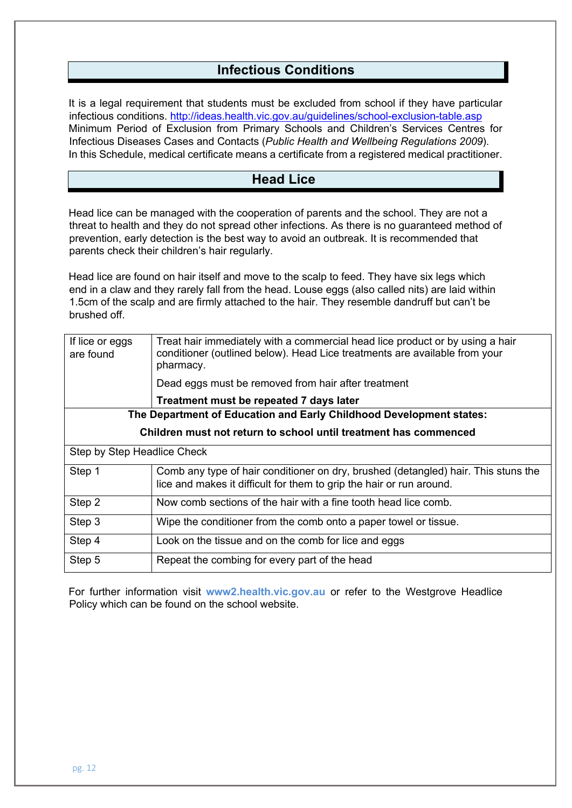## **Infectious Conditions**

It is a legal requirement that students must be excluded from school if they have particular infectious conditions. http://ideas.health.vic.gov.au/guidelines/school-exclusion-table.asp Minimum Period of Exclusion from Primary Schools and Children's Services Centres for Infectious Diseases Cases and Contacts (*Public Health and Wellbeing Regulations 2009*). In this Schedule, medical certificate means a certificate from a registered medical practitioner.

## **Head Lice**

Head lice can be managed with the cooperation of parents and the school. They are not a threat to health and they do not spread other infections. As there is no guaranteed method of prevention, early detection is the best way to avoid an outbreak. It is recommended that parents check their children's hair regularly.

Head lice are found on hair itself and move to the scalp to feed. They have six legs which end in a claw and they rarely fall from the head. Louse eggs (also called nits) are laid within 1.5cm of the scalp and are firmly attached to the hair. They resemble dandruff but can't be brushed off.

| If lice or eggs<br>are found                                        | Treat hair immediately with a commercial head lice product or by using a hair<br>conditioner (outlined below). Head Lice treatments are available from your<br>pharmacy. |  |  |  |
|---------------------------------------------------------------------|--------------------------------------------------------------------------------------------------------------------------------------------------------------------------|--|--|--|
|                                                                     | Dead eggs must be removed from hair after treatment                                                                                                                      |  |  |  |
|                                                                     | Treatment must be repeated 7 days later                                                                                                                                  |  |  |  |
| The Department of Education and Early Childhood Development states: |                                                                                                                                                                          |  |  |  |
| Children must not return to school until treatment has commenced    |                                                                                                                                                                          |  |  |  |
| Step by Step Headlice Check                                         |                                                                                                                                                                          |  |  |  |
| Step 1                                                              | Comb any type of hair conditioner on dry, brushed (detangled) hair. This stuns the<br>lice and makes it difficult for them to grip the hair or run around.               |  |  |  |
| Step 2                                                              | Now comb sections of the hair with a fine tooth head lice comb.                                                                                                          |  |  |  |
| Step 3                                                              | Wipe the conditioner from the comb onto a paper towel or tissue.                                                                                                         |  |  |  |
| Step 4                                                              | Look on the tissue and on the comb for lice and eggs                                                                                                                     |  |  |  |
| Step 5                                                              | Repeat the combing for every part of the head                                                                                                                            |  |  |  |

For further information visit **www2.health.vic.gov.au** or refer to the Westgrove Headlice Policy which can be found on the school website.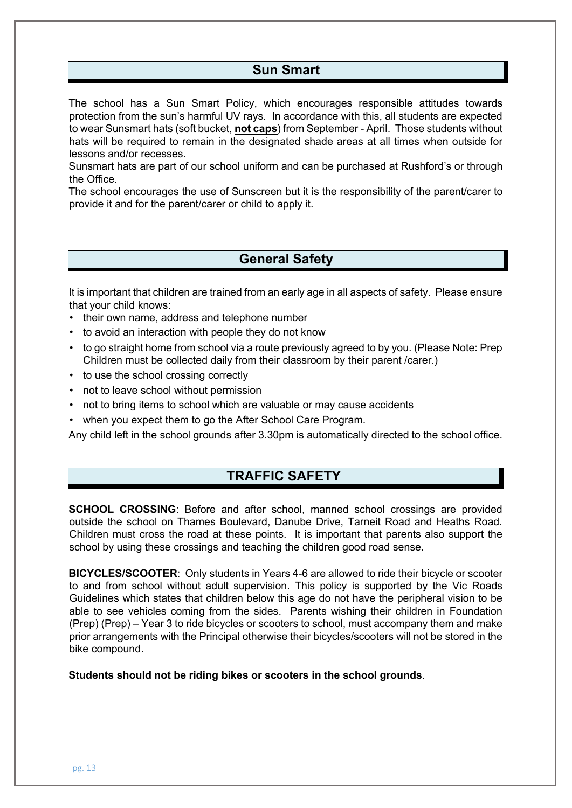## **Sun Smart**

The school has a Sun Smart Policy, which encourages responsible attitudes towards protection from the sun's harmful UV rays. In accordance with this, all students are expected to wear Sunsmart hats (soft bucket, **not caps**) from September - April. Those students without hats will be required to remain in the designated shade areas at all times when outside for lessons and/or recesses.

Sunsmart hats are part of our school uniform and can be purchased at Rushford's or through the Office.

The school encourages the use of Sunscreen but it is the responsibility of the parent/carer to provide it and for the parent/carer or child to apply it.

## **General Safety**

It is important that children are trained from an early age in all aspects of safety. Please ensure that your child knows:

- their own name, address and telephone number
- to avoid an interaction with people they do not know
- to go straight home from school via a route previously agreed to by you. (Please Note: Prep Children must be collected daily from their classroom by their parent /carer.)
- to use the school crossing correctly
- not to leave school without permission
- not to bring items to school which are valuable or may cause accidents
- when you expect them to go the After School Care Program.

Any child left in the school grounds after 3.30pm is automatically directed to the school office.

## **TRAFFIC SAFETY**

**SCHOOL CROSSING**: Before and after school, manned school crossings are provided outside the school on Thames Boulevard, Danube Drive, Tarneit Road and Heaths Road. Children must cross the road at these points. It is important that parents also support the school by using these crossings and teaching the children good road sense.

**BICYCLES/SCOOTER**: Only students in Years 4-6 are allowed to ride their bicycle or scooter to and from school without adult supervision. This policy is supported by the Vic Roads Guidelines which states that children below this age do not have the peripheral vision to be able to see vehicles coming from the sides. Parents wishing their children in Foundation (Prep) (Prep) – Year 3 to ride bicycles or scooters to school, must accompany them and make prior arrangements with the Principal otherwise their bicycles/scooters will not be stored in the bike compound.

**Students should not be riding bikes or scooters in the school grounds**.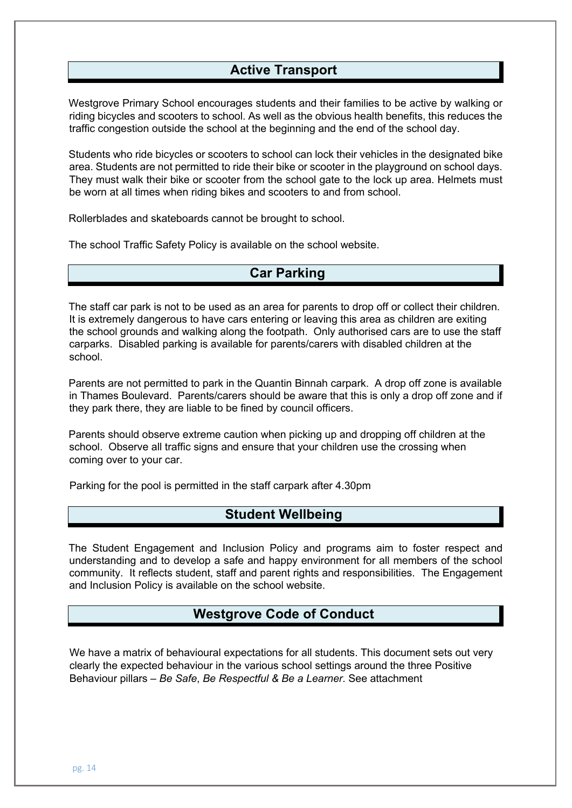## **Active Transport**

Westgrove Primary School encourages students and their families to be active by walking or riding bicycles and scooters to school. As well as the obvious health benefits, this reduces the traffic congestion outside the school at the beginning and the end of the school day.

Students who ride bicycles or scooters to school can lock their vehicles in the designated bike area. Students are not permitted to ride their bike or scooter in the playground on school days. They must walk their bike or scooter from the school gate to the lock up area. Helmets must be worn at all times when riding bikes and scooters to and from school.

Rollerblades and skateboards cannot be brought to school.

The school Traffic Safety Policy is available on the school website.

## **Car Parking**

The staff car park is not to be used as an area for parents to drop off or collect their children. It is extremely dangerous to have cars entering or leaving this area as children are exiting the school grounds and walking along the footpath. Only authorised cars are to use the staff carparks. Disabled parking is available for parents/carers with disabled children at the school.

Parents are not permitted to park in the Quantin Binnah carpark. A drop off zone is available in Thames Boulevard. Parents/carers should be aware that this is only a drop off zone and if they park there, they are liable to be fined by council officers.

Parents should observe extreme caution when picking up and dropping off children at the school. Observe all traffic signs and ensure that your children use the crossing when coming over to your car.

Parking for the pool is permitted in the staff carpark after 4.30pm

## **Student Wellbeing**

The Student Engagement and Inclusion Policy and programs aim to foster respect and understanding and to develop a safe and happy environment for all members of the school community. It reflects student, staff and parent rights and responsibilities. The Engagement and Inclusion Policy is available on the school website.

## **Westgrove Code of Conduct**

We have a matrix of behavioural expectations for all students. This document sets out very clearly the expected behaviour in the various school settings around the three Positive Behaviour pillars – *Be Safe*, *Be Respectful & Be a Learner*. See attachment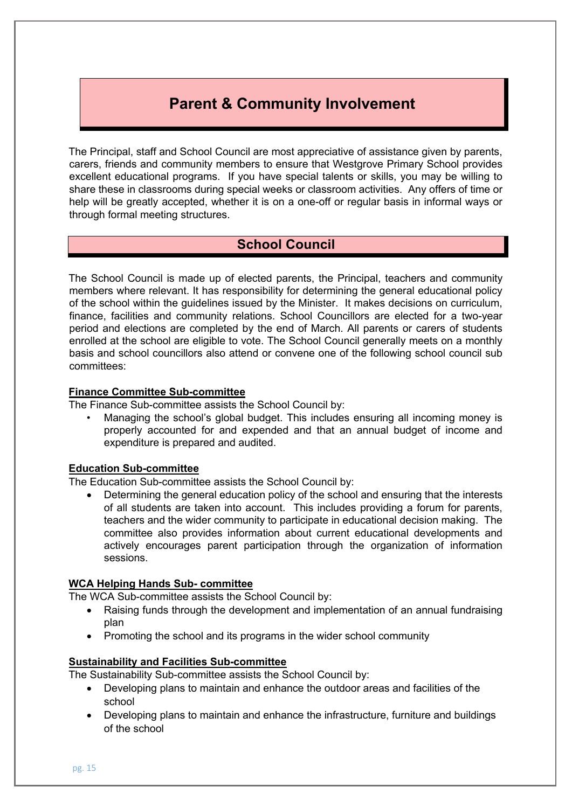# **Parent & Community Involvement**

The Principal, staff and School Council are most appreciative of assistance given by parents, carers, friends and community members to ensure that Westgrove Primary School provides excellent educational programs. If you have special talents or skills, you may be willing to share these in classrooms during special weeks or classroom activities. Any offers of time or help will be greatly accepted, whether it is on a one-off or regular basis in informal ways or through formal meeting structures.

## **School Council**

The School Council is made up of elected parents, the Principal, teachers and community members where relevant. It has responsibility for determining the general educational policy of the school within the guidelines issued by the Minister. It makes decisions on curriculum, finance, facilities and community relations. School Councillors are elected for a two-year period and elections are completed by the end of March. All parents or carers of students enrolled at the school are eligible to vote. The School Council generally meets on a monthly basis and school councillors also attend or convene one of the following school council sub committees:

#### **Finance Committee Sub-committee**

The Finance Sub-committee assists the School Council by:

• Managing the school's global budget. This includes ensuring all incoming money is properly accounted for and expended and that an annual budget of income and expenditure is prepared and audited.

#### **Education Sub-committee**

The Education Sub-committee assists the School Council by:

• Determining the general education policy of the school and ensuring that the interests of all students are taken into account. This includes providing a forum for parents, teachers and the wider community to participate in educational decision making. The committee also provides information about current educational developments and actively encourages parent participation through the organization of information sessions.

#### **WCA Helping Hands Sub- committee**

The WCA Sub-committee assists the School Council by:

- Raising funds through the development and implementation of an annual fundraising plan
- Promoting the school and its programs in the wider school community

#### **Sustainability and Facilities Sub-committee**

The Sustainability Sub-committee assists the School Council by:

- Developing plans to maintain and enhance the outdoor areas and facilities of the school
- Developing plans to maintain and enhance the infrastructure, furniture and buildings of the school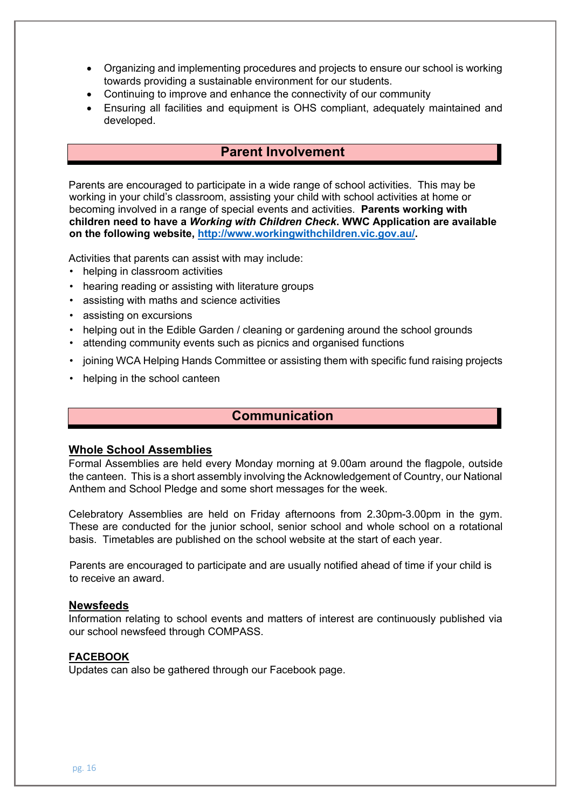- Organizing and implementing procedures and projects to ensure our school is working towards providing a sustainable environment for our students.
- Continuing to improve and enhance the connectivity of our community
- Ensuring all facilities and equipment is OHS compliant, adequately maintained and developed.

## **Parent Involvement**

Parents are encouraged to participate in a wide range of school activities. This may be working in your child's classroom, assisting your child with school activities at home or becoming involved in a range of special events and activities. **Parents working with children need to have a** *Working with Children Check***. WWC Application are available on the following website, http://www.workingwithchildren.vic.gov.au/.** 

Activities that parents can assist with may include:

- helping in classroom activities
- hearing reading or assisting with literature groups
- assisting with maths and science activities
- assisting on excursions
- helping out in the Edible Garden / cleaning or gardening around the school grounds
- attending community events such as picnics and organised functions
- joining WCA Helping Hands Committee or assisting them with specific fund raising projects
- helping in the school canteen

## **Communication**

#### **Whole School Assemblies**

Formal Assemblies are held every Monday morning at 9.00am around the flagpole, outside the canteen. This is a short assembly involving the Acknowledgement of Country, our National Anthem and School Pledge and some short messages for the week.

Celebratory Assemblies are held on Friday afternoons from 2.30pm-3.00pm in the gym. These are conducted for the junior school, senior school and whole school on a rotational basis. Timetables are published on the school website at the start of each year.

Parents are encouraged to participate and are usually notified ahead of time if your child is to receive an award.

#### **Newsfeeds**

Information relating to school events and matters of interest are continuously published via our school newsfeed through COMPASS.

#### **FACEBOOK**

Updates can also be gathered through our Facebook page.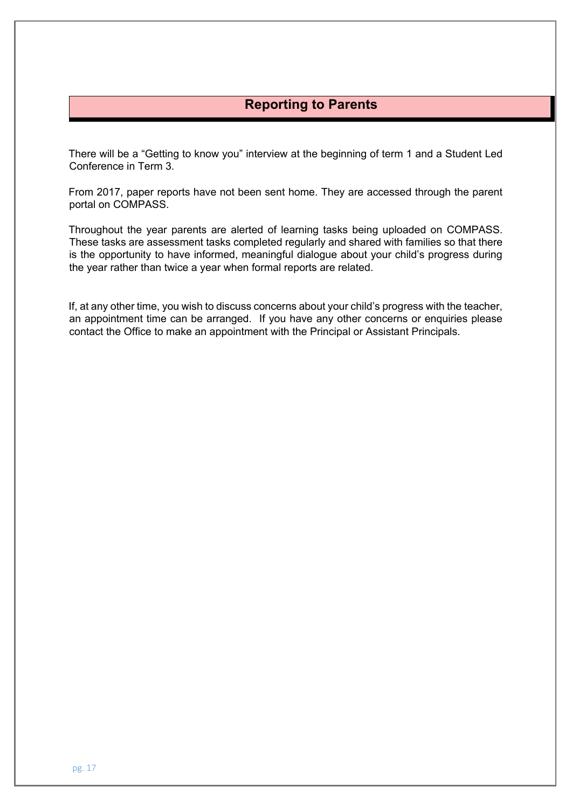## **Reporting to Parents**

There will be a "Getting to know you" interview at the beginning of term 1 and a Student Led Conference in Term 3.

From 2017, paper reports have not been sent home. They are accessed through the parent portal on COMPASS.

Throughout the year parents are alerted of learning tasks being uploaded on COMPASS. These tasks are assessment tasks completed regularly and shared with families so that there is the opportunity to have informed, meaningful dialogue about your child's progress during the year rather than twice a year when formal reports are related.

If, at any other time, you wish to discuss concerns about your child's progress with the teacher, an appointment time can be arranged. If you have any other concerns or enquiries please contact the Office to make an appointment with the Principal or Assistant Principals.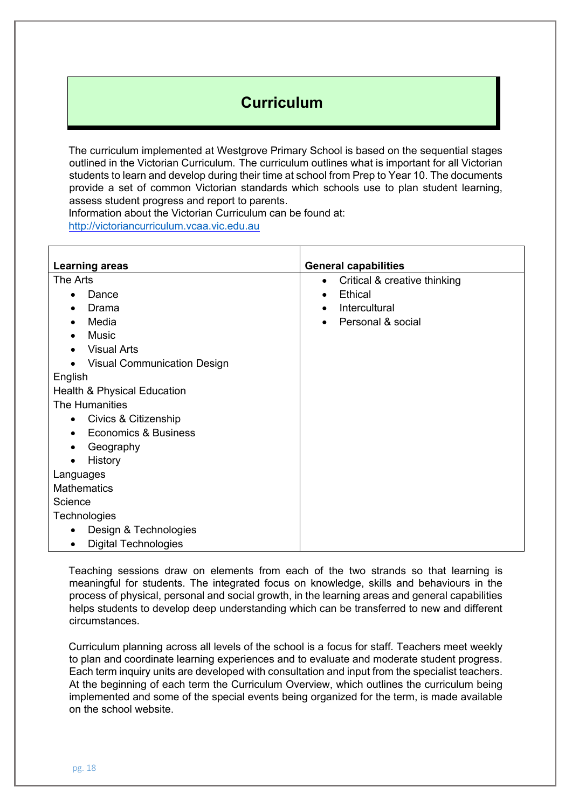# **Curriculum**

The curriculum implemented at Westgrove Primary School is based on the sequential stages outlined in the Victorian Curriculum. The curriculum outlines what is important for all Victorian students to learn and develop during their time at school from Prep to Year 10. The documents provide a set of common Victorian standards which schools use to plan student learning, assess student progress and report to parents.

Information about the Victorian Curriculum can be found at: http://victoriancurriculum.vcaa.vic.edu.au

| <b>Learning areas</b>                           | <b>General capabilities</b>               |
|-------------------------------------------------|-------------------------------------------|
| The Arts                                        | Critical & creative thinking<br>$\bullet$ |
| Dance                                           | Ethical<br>$\bullet$                      |
| Drama                                           | Intercultural<br>$\bullet$                |
| Media                                           | Personal & social                         |
| <b>Music</b>                                    |                                           |
| <b>Visual Arts</b>                              |                                           |
| <b>Visual Communication Design</b><br>$\bullet$ |                                           |
| English                                         |                                           |
| Health & Physical Education                     |                                           |
| The Humanities                                  |                                           |
| Civics & Citizenship<br>$\bullet$               |                                           |
| <b>Economics &amp; Business</b>                 |                                           |
| Geography<br>$\bullet$                          |                                           |
| History<br>$\bullet$                            |                                           |
| Languages                                       |                                           |
| <b>Mathematics</b>                              |                                           |
| Science                                         |                                           |
| Technologies                                    |                                           |
| Design & Technologies                           |                                           |
| <b>Digital Technologies</b>                     |                                           |

Teaching sessions draw on elements from each of the two strands so that learning is meaningful for students. The integrated focus on knowledge, skills and behaviours in the process of physical, personal and social growth, in the learning areas and general capabilities helps students to develop deep understanding which can be transferred to new and different circumstances.

Curriculum planning across all levels of the school is a focus for staff. Teachers meet weekly to plan and coordinate learning experiences and to evaluate and moderate student progress. Each term inquiry units are developed with consultation and input from the specialist teachers. At the beginning of each term the Curriculum Overview, which outlines the curriculum being implemented and some of the special events being organized for the term, is made available on the school website.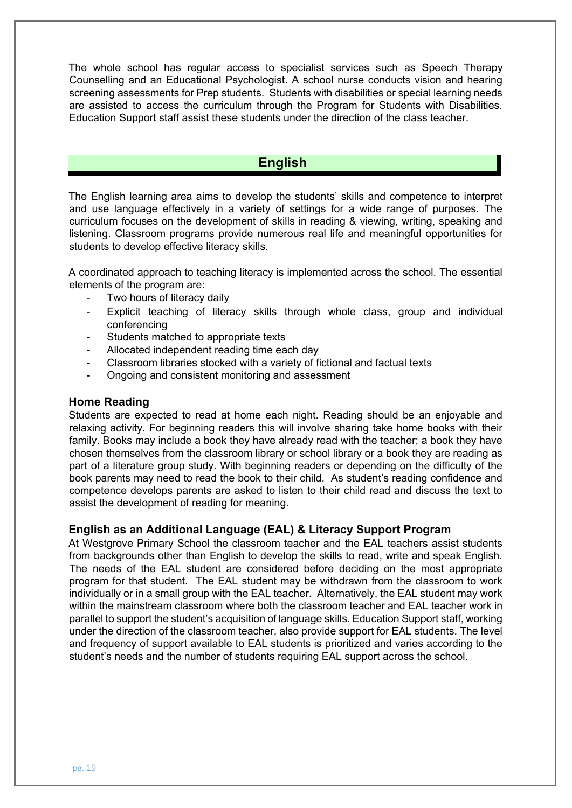The whole school has regular access to specialist services such as Speech Therapy Counselling and an Educational Psychologist. A school nurse conducts vision and hearing screening assessments for Prep students. Students with disabilities or special learning needs are assisted to access the curriculum through the Program for Students with Disabilities. Education Support staff assist these students under the direction of the class teacher.

## **English**

The English learning area aims to develop the students' skills and competence to interpret and use language effectively in a variety of settings for a wide range of purposes. The curriculum focuses on the development of skills in reading & viewing, writing, speaking and listening. Classroom programs provide numerous real life and meaningful opportunities for students to develop effective literacy skills.

A coordinated approach to teaching literacy is implemented across the school. The essential elements of the program are:

- Two hours of literacy daily
- Explicit teaching of literacy skills through whole class, group and individual conferencing
- Students matched to appropriate texts
- Allocated independent reading time each day
- Classroom libraries stocked with a variety of fictional and factual texts
- Ongoing and consistent monitoring and assessment

#### **Home Reading**

Students are expected to read at home each night. Reading should be an enjoyable and relaxing activity. For beginning readers this will involve sharing take home books with their family. Books may include a book they have already read with the teacher; a book they have chosen themselves from the classroom library or school library or a book they are reading as part of a literature group study. With beginning readers or depending on the difficulty of the book parents may need to read the book to their child. As student's reading confidence and competence develops parents are asked to listen to their child read and discuss the text to assist the development of reading for meaning.

#### **English as an Additional Language (EAL) & Literacy Support Program**

At Westgrove Primary School the classroom teacher and the EAL teachers assist students from backgrounds other than English to develop the skills to read, write and speak English. The needs of the EAL student are considered before deciding on the most appropriate program for that student. The EAL student may be withdrawn from the classroom to work individually or in a small group with the EAL teacher. Alternatively, the EAL student may work within the mainstream classroom where both the classroom teacher and EAL teacher work in parallel to support the student's acquisition of language skills. Education Support staff, working under the direction of the classroom teacher, also provide support for EAL students. The level and frequency of support available to EAL students is prioritized and varies according to the student's needs and the number of students requiring EAL support across the school.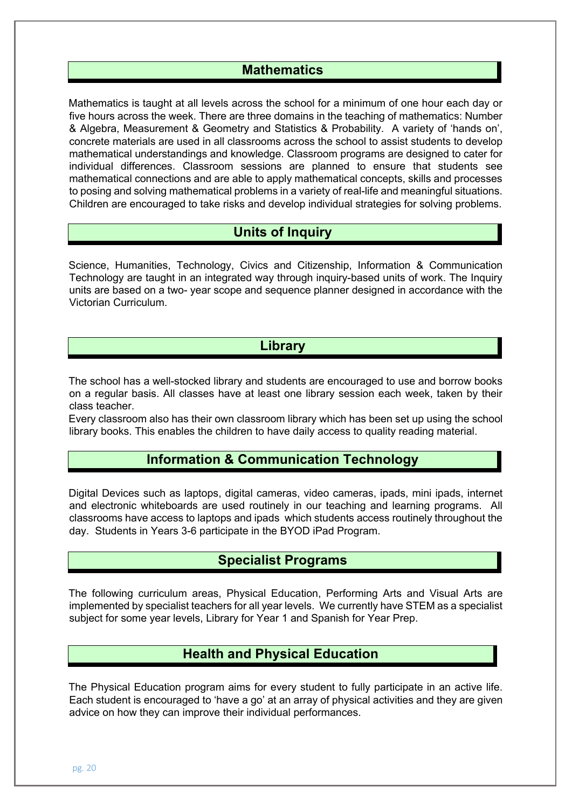## **Mathematics**

Mathematics is taught at all levels across the school for a minimum of one hour each day or five hours across the week. There are three domains in the teaching of mathematics: Number & Algebra, Measurement & Geometry and Statistics & Probability. A variety of 'hands on', concrete materials are used in all classrooms across the school to assist students to develop mathematical understandings and knowledge. Classroom programs are designed to cater for individual differences. Classroom sessions are planned to ensure that students see mathematical connections and are able to apply mathematical concepts, skills and processes to posing and solving mathematical problems in a variety of real-life and meaningful situations. Children are encouraged to take risks and develop individual strategies for solving problems.

## **Units of Inquiry**

Science, Humanities, Technology, Civics and Citizenship, Information & Communication Technology are taught in an integrated way through inquiry-based units of work. The Inquiry units are based on a two- year scope and sequence planner designed in accordance with the Victorian Curriculum.

## **Library**

The school has a well-stocked library and students are encouraged to use and borrow books on a regular basis. All classes have at least one library session each week, taken by their class teacher.

Every classroom also has their own classroom library which has been set up using the school library books. This enables the children to have daily access to quality reading material.

## **Information & Communication Technology**

Digital Devices such as laptops, digital cameras, video cameras, ipads, mini ipads, internet and electronic whiteboards are used routinely in our teaching and learning programs. All classrooms have access to laptops and ipads which students access routinely throughout the day. Students in Years 3-6 participate in the BYOD iPad Program.

## **Specialist Programs**

The following curriculum areas, Physical Education, Performing Arts and Visual Arts are implemented by specialist teachers for all year levels. We currently have STEM as a specialist subject for some year levels, Library for Year 1 and Spanish for Year Prep.

## **Health and Physical Education**

The Physical Education program aims for every student to fully participate in an active life. Each student is encouraged to 'have a go' at an array of physical activities and they are given advice on how they can improve their individual performances.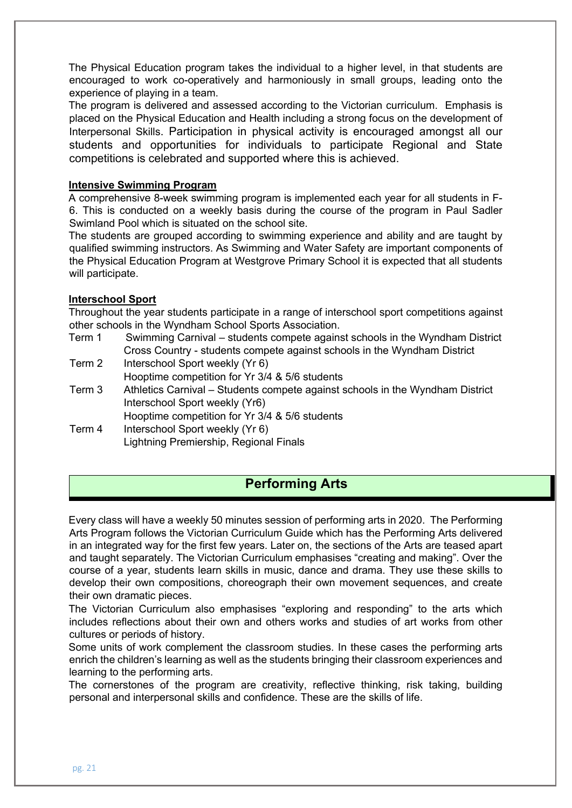The Physical Education program takes the individual to a higher level, in that students are encouraged to work co-operatively and harmoniously in small groups, leading onto the experience of playing in a team.

The program is delivered and assessed according to the Victorian curriculum. Emphasis is placed on the Physical Education and Health including a strong focus on the development of Interpersonal Skills. Participation in physical activity is encouraged amongst all our students and opportunities for individuals to participate Regional and State competitions is celebrated and supported where this is achieved.

#### **Intensive Swimming Program**

A comprehensive 8-week swimming program is implemented each year for all students in F-6. This is conducted on a weekly basis during the course of the program in Paul Sadler Swimland Pool which is situated on the school site.

The students are grouped according to swimming experience and ability and are taught by qualified swimming instructors. As Swimming and Water Safety are important components of the Physical Education Program at Westgrove Primary School it is expected that all students will participate.

#### **Interschool Sport**

Throughout the year students participate in a range of interschool sport competitions against other schools in the Wyndham School Sports Association.

Term 1 Swimming Carnival – students compete against schools in the Wyndham District Cross Country - students compete against schools in the Wyndham District

- Term 2 Interschool Sport weekly (Yr 6)
	- Hooptime competition for Yr 3/4 & 5/6 students
- Term 3 Athletics Carnival Students compete against schools in the Wyndham District Interschool Sport weekly (Yr6)

Hooptime competition for Yr 3/4 & 5/6 students

Term 4 Interschool Sport weekly (Yr 6) Lightning Premiership, Regional Finals

## **Performing Arts**

Every class will have a weekly 50 minutes session of performing arts in 2020. The Performing Arts Program follows the Victorian Curriculum Guide which has the Performing Arts delivered in an integrated way for the first few years. Later on, the sections of the Arts are teased apart and taught separately. The Victorian Curriculum emphasises "creating and making". Over the course of a year, students learn skills in music, dance and drama. They use these skills to develop their own compositions, choreograph their own movement sequences, and create their own dramatic pieces.

The Victorian Curriculum also emphasises "exploring and responding" to the arts which includes reflections about their own and others works and studies of art works from other cultures or periods of history.

Some units of work complement the classroom studies. In these cases the performing arts enrich the children's learning as well as the students bringing their classroom experiences and learning to the performing arts.

The cornerstones of the program are creativity, reflective thinking, risk taking, building personal and interpersonal skills and confidence. These are the skills of life.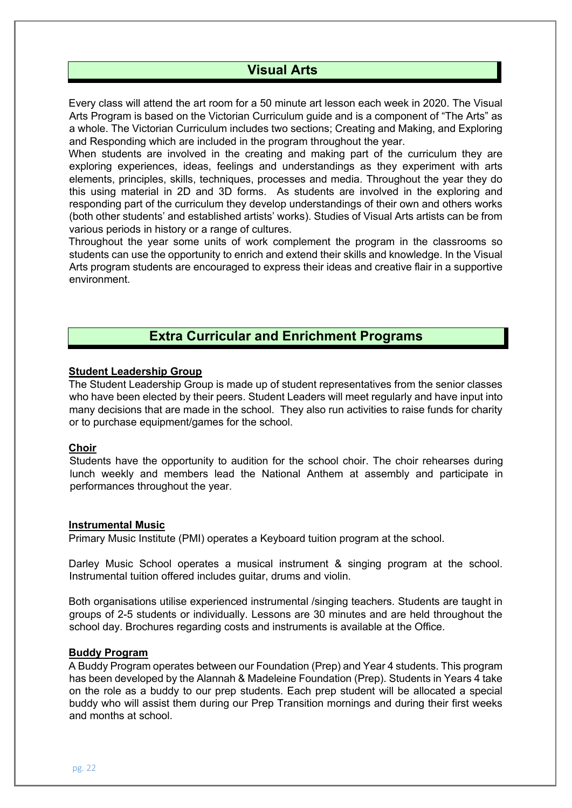## **Visual Arts**

Every class will attend the art room for a 50 minute art lesson each week in 2020. The Visual Arts Program is based on the Victorian Curriculum guide and is a component of "The Arts" as a whole. The Victorian Curriculum includes two sections; Creating and Making, and Exploring and Responding which are included in the program throughout the year.

When students are involved in the creating and making part of the curriculum they are exploring experiences, ideas, feelings and understandings as they experiment with arts elements, principles, skills, techniques, processes and media. Throughout the year they do this using material in 2D and 3D forms. As students are involved in the exploring and responding part of the curriculum they develop understandings of their own and others works (both other students' and established artists' works). Studies of Visual Arts artists can be from various periods in history or a range of cultures.

Throughout the year some units of work complement the program in the classrooms so students can use the opportunity to enrich and extend their skills and knowledge. In the Visual Arts program students are encouraged to express their ideas and creative flair in a supportive environment.

## **Extra Curricular and Enrichment Programs**

#### **Student Leadership Group**

The Student Leadership Group is made up of student representatives from the senior classes who have been elected by their peers. Student Leaders will meet regularly and have input into many decisions that are made in the school. They also run activities to raise funds for charity or to purchase equipment/games for the school.

#### **Choir**

Students have the opportunity to audition for the school choir. The choir rehearses during lunch weekly and members lead the National Anthem at assembly and participate in performances throughout the year.

#### **Instrumental Music**

Primary Music Institute (PMI) operates a Keyboard tuition program at the school.

Darley Music School operates a musical instrument & singing program at the school. Instrumental tuition offered includes guitar, drums and violin.

Both organisations utilise experienced instrumental /singing teachers. Students are taught in groups of 2-5 students or individually. Lessons are 30 minutes and are held throughout the school day. Brochures regarding costs and instruments is available at the Office.

#### **Buddy Program**

A Buddy Program operates between our Foundation (Prep) and Year 4 students. This program has been developed by the Alannah & Madeleine Foundation (Prep). Students in Years 4 take on the role as a buddy to our prep students. Each prep student will be allocated a special buddy who will assist them during our Prep Transition mornings and during their first weeks and months at school.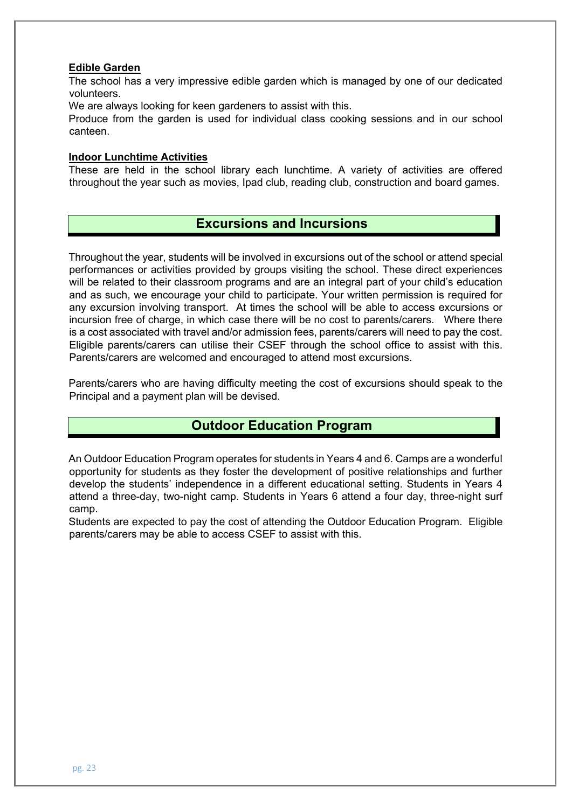#### **Edible Garden**

The school has a very impressive edible garden which is managed by one of our dedicated volunteers.

We are always looking for keen gardeners to assist with this.

Produce from the garden is used for individual class cooking sessions and in our school canteen.

#### **Indoor Lunchtime Activities**

These are held in the school library each lunchtime. A variety of activities are offered throughout the year such as movies, Ipad club, reading club, construction and board games.

## **Excursions and Incursions**

Throughout the year, students will be involved in excursions out of the school or attend special performances or activities provided by groups visiting the school. These direct experiences will be related to their classroom programs and are an integral part of your child's education and as such, we encourage your child to participate. Your written permission is required for any excursion involving transport. At times the school will be able to access excursions or incursion free of charge, in which case there will be no cost to parents/carers. Where there is a cost associated with travel and/or admission fees, parents/carers will need to pay the cost. Eligible parents/carers can utilise their CSEF through the school office to assist with this. Parents/carers are welcomed and encouraged to attend most excursions.

Parents/carers who are having difficulty meeting the cost of excursions should speak to the Principal and a payment plan will be devised.

## **Outdoor Education Program**

An Outdoor Education Program operates for students in Years 4 and 6. Camps are a wonderful opportunity for students as they foster the development of positive relationships and further develop the students' independence in a different educational setting. Students in Years 4 attend a three-day, two-night camp. Students in Years 6 attend a four day, three-night surf camp.

Students are expected to pay the cost of attending the Outdoor Education Program. Eligible parents/carers may be able to access CSEF to assist with this.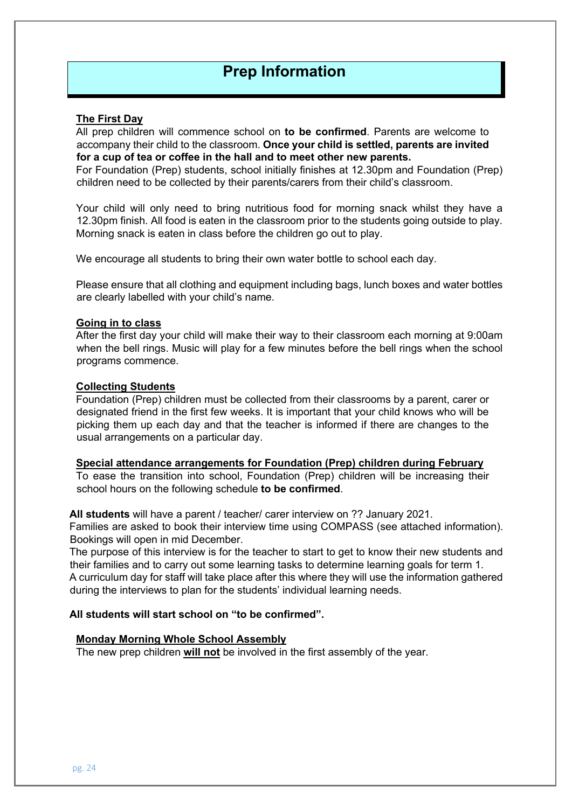# **Prep Information**

#### **The First Day**

All prep children will commence school on **to be confirmed**. Parents are welcome to accompany their child to the classroom. **Once your child is settled, parents are invited for a cup of tea or coffee in the hall and to meet other new parents.** 

For Foundation (Prep) students, school initially finishes at 12.30pm and Foundation (Prep) children need to be collected by their parents/carers from their child's classroom.

Your child will only need to bring nutritious food for morning snack whilst they have a 12.30pm finish. All food is eaten in the classroom prior to the students going outside to play. Morning snack is eaten in class before the children go out to play.

We encourage all students to bring their own water bottle to school each day.

Please ensure that all clothing and equipment including bags, lunch boxes and water bottles are clearly labelled with your child's name.

#### **Going in to class**

After the first day your child will make their way to their classroom each morning at 9:00am when the bell rings. Music will play for a few minutes before the bell rings when the school programs commence.

#### **Collecting Students**

Foundation (Prep) children must be collected from their classrooms by a parent, carer or designated friend in the first few weeks. It is important that your child knows who will be picking them up each day and that the teacher is informed if there are changes to the usual arrangements on a particular day.

#### **Special attendance arrangements for Foundation (Prep) children during February**

To ease the transition into school, Foundation (Prep) children will be increasing their school hours on the following schedule **to be confirmed**.

**All students** will have a parent / teacher/ carer interview on ?? January 2021.

Families are asked to book their interview time using COMPASS (see attached information). Bookings will open in mid December.

The purpose of this interview is for the teacher to start to get to know their new students and their families and to carry out some learning tasks to determine learning goals for term 1. A curriculum day for staff will take place after this where they will use the information gathered during the interviews to plan for the students' individual learning needs.

#### **All students will start school on "to be confirmed".**

#### **Monday Morning Whole School Assembly**

The new prep children **will not** be involved in the first assembly of the year.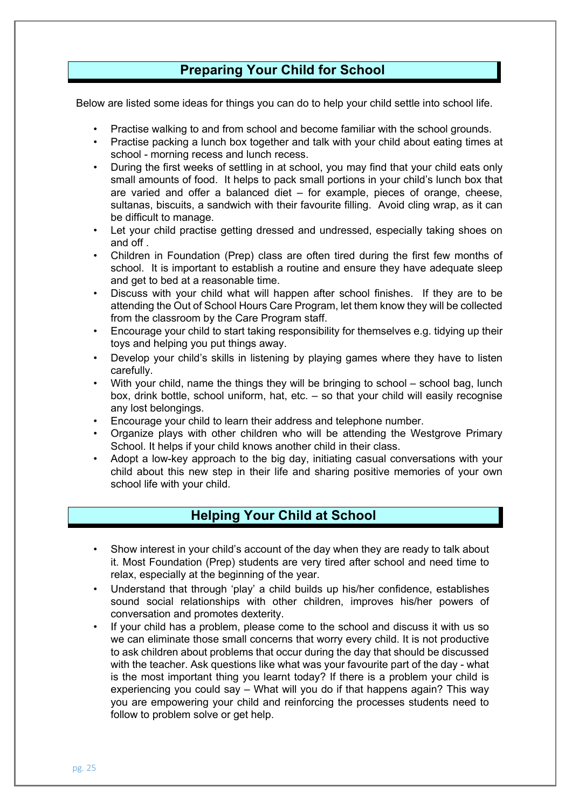## **Preparing Your Child for School**

Below are listed some ideas for things you can do to help your child settle into school life.

- Practise walking to and from school and become familiar with the school grounds.
- Practise packing a lunch box together and talk with your child about eating times at school - morning recess and lunch recess.
- During the first weeks of settling in at school, you may find that your child eats only small amounts of food. It helps to pack small portions in your child's lunch box that are varied and offer a balanced diet – for example, pieces of orange, cheese, sultanas, biscuits, a sandwich with their favourite filling. Avoid cling wrap, as it can be difficult to manage.
- Let your child practise getting dressed and undressed, especially taking shoes on and off .
- Children in Foundation (Prep) class are often tired during the first few months of school. It is important to establish a routine and ensure they have adequate sleep and get to bed at a reasonable time.
- Discuss with your child what will happen after school finishes. If they are to be attending the Out of School Hours Care Program, let them know they will be collected from the classroom by the Care Program staff.
- Encourage your child to start taking responsibility for themselves e.g. tidying up their toys and helping you put things away.
- Develop your child's skills in listening by playing games where they have to listen carefully.
- With your child, name the things they will be bringing to school school bag, lunch box, drink bottle, school uniform, hat, etc. – so that your child will easily recognise any lost belongings.
- Encourage your child to learn their address and telephone number.
- Organize plays with other children who will be attending the Westgrove Primary School. It helps if your child knows another child in their class.
- Adopt a low-key approach to the big day, initiating casual conversations with your child about this new step in their life and sharing positive memories of your own school life with your child.

## **Helping Your Child at School**

- Show interest in your child's account of the day when they are ready to talk about it. Most Foundation (Prep) students are very tired after school and need time to relax, especially at the beginning of the year.
- Understand that through 'play' a child builds up his/her confidence, establishes sound social relationships with other children, improves his/her powers of conversation and promotes dexterity.
- If your child has a problem, please come to the school and discuss it with us so we can eliminate those small concerns that worry every child. It is not productive to ask children about problems that occur during the day that should be discussed with the teacher. Ask questions like what was your favourite part of the day - what is the most important thing you learnt today? If there is a problem your child is experiencing you could say – What will you do if that happens again? This way you are empowering your child and reinforcing the processes students need to follow to problem solve or get help.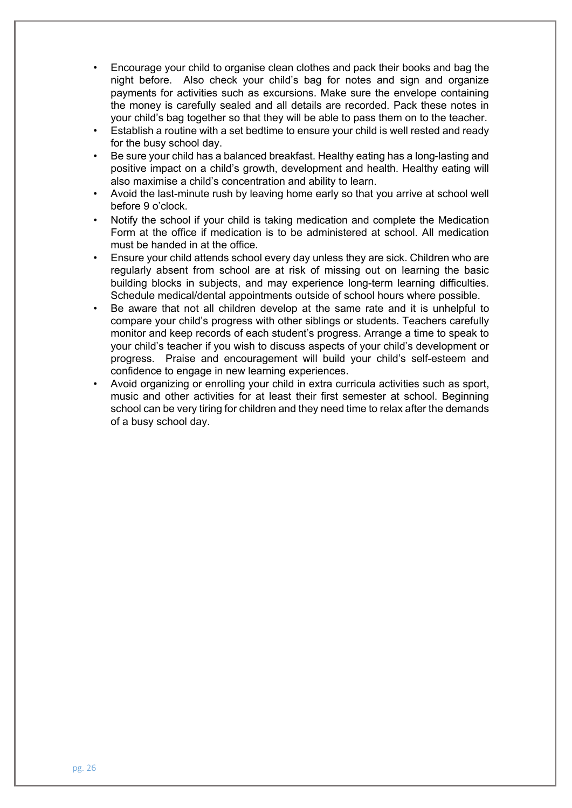- Encourage your child to organise clean clothes and pack their books and bag the night before. Also check your child's bag for notes and sign and organize payments for activities such as excursions. Make sure the envelope containing the money is carefully sealed and all details are recorded. Pack these notes in your child's bag together so that they will be able to pass them on to the teacher.
- Establish a routine with a set bedtime to ensure your child is well rested and ready for the busy school day.
- Be sure your child has a balanced breakfast. Healthy eating has a long-lasting and positive impact on a child's growth, development and health. Healthy eating will also maximise a child's concentration and ability to learn.
- Avoid the last-minute rush by leaving home early so that you arrive at school well before 9 o'clock.
- Notify the school if your child is taking medication and complete the Medication Form at the office if medication is to be administered at school. All medication must be handed in at the office.
- Ensure your child attends school every day unless they are sick. Children who are regularly absent from school are at risk of missing out on learning the basic building blocks in subjects, and may experience long-term learning difficulties. Schedule medical/dental appointments outside of school hours where possible.
- Be aware that not all children develop at the same rate and it is unhelpful to compare your child's progress with other siblings or students. Teachers carefully monitor and keep records of each student's progress. Arrange a time to speak to your child's teacher if you wish to discuss aspects of your child's development or progress. Praise and encouragement will build your child's self-esteem and confidence to engage in new learning experiences.
- Avoid organizing or enrolling your child in extra curricula activities such as sport, music and other activities for at least their first semester at school. Beginning school can be very tiring for children and they need time to relax after the demands of a busy school day.